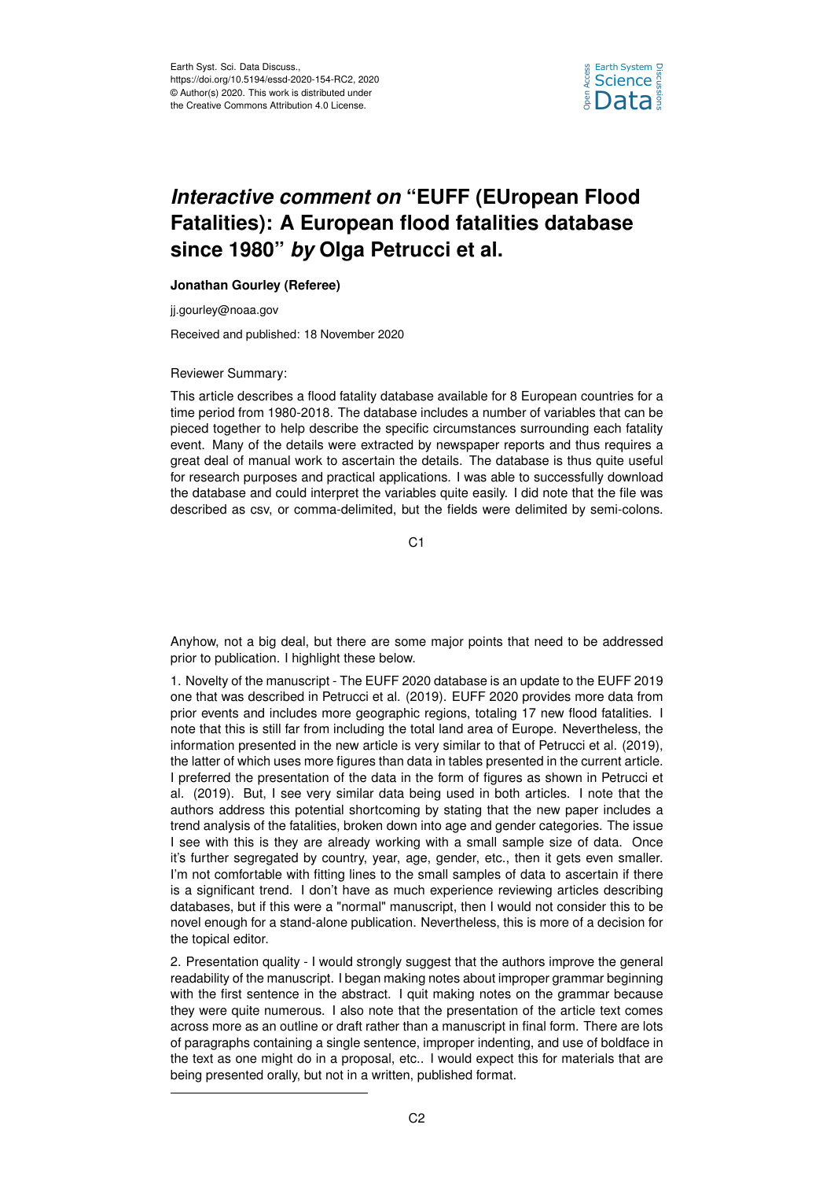

## *Interactive comment on* **"EUFF (EUropean Flood Fatalities): A European flood fatalities database since 1980"** *by* **Olga Petrucci et al.**

## **Jonathan Gourley (Referee)**

jj.gourley@noaa.gov

Received and published: 18 November 2020

## Reviewer Summary:

This article describes a flood fatality database available for 8 European countries for a time period from 1980-2018. The database includes a number of variables that can be pieced together to help describe the specific circumstances surrounding each fatality event. Many of the details were extracted by newspaper reports and thus requires a great deal of manual work to ascertain the details. The database is thus quite useful for research purposes and practical applications. I was able to successfully download the database and could interpret the variables quite easily. I did note that the file was described as csv, or comma-delimited, but the fields were delimited by semi-colons.

C1

Anyhow, not a big deal, but there are some major points that need to be addressed prior to publication. I highlight these below.

1. Novelty of the manuscript - The EUFF 2020 database is an update to the EUFF 2019 one that was described in Petrucci et al. (2019). EUFF 2020 provides more data from prior events and includes more geographic regions, totaling 17 new flood fatalities. I note that this is still far from including the total land area of Europe. Nevertheless, the information presented in the new article is very similar to that of Petrucci et al. (2019), the latter of which uses more figures than data in tables presented in the current article. I preferred the presentation of the data in the form of figures as shown in Petrucci et al. (2019). But, I see very similar data being used in both articles. I note that the authors address this potential shortcoming by stating that the new paper includes a trend analysis of the fatalities, broken down into age and gender categories. The issue I see with this is they are already working with a small sample size of data. Once it's further segregated by country, year, age, gender, etc., then it gets even smaller. I'm not comfortable with fitting lines to the small samples of data to ascertain if there is a significant trend. I don't have as much experience reviewing articles describing databases, but if this were a "normal" manuscript, then I would not consider this to be novel enough for a stand-alone publication. Nevertheless, this is more of a decision for the topical editor.

2. Presentation quality - I would strongly suggest that the authors improve the general readability of the manuscript. I began making notes about improper grammar beginning with the first sentence in the abstract. I quit making notes on the grammar because they were quite numerous. I also note that the presentation of the article text comes across more as an outline or draft rather than a manuscript in final form. There are lots of paragraphs containing a single sentence, improper indenting, and use of boldface in the text as one might do in a proposal, etc.. I would expect this for materials that are being presented orally, but not in a written, published format.